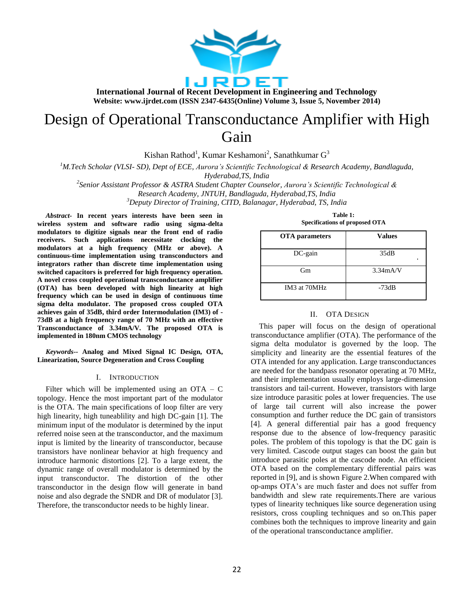

# Design of Operational Transconductance Amplifier with High Gain

Kishan Rathod<sup>1</sup>, Kumar Keshamoni<sup>2</sup>, Sanathkumar G<sup>3</sup>

*<sup>1</sup>M.Tech Scholar (VLSI- SD), Dept of ECE, Aurora's Scientific Technological & Research Academy, Bandlaguda, Hyderabad,TS, India*

*2 Senior Assistant Professor & ASTRA Student Chapter Counselor, Aurora's Scientific Technological & Research Academy, JNTUH, Bandlaguda, Hyderabad,TS, India*

*<sup>3</sup>Deputy Director of Training, CITD, Balanagar, Hyderabad, TS, India*

*Abstract-* **In recent years interests have been seen in wireless system and software radio using sigma-delta modulators to digitize signals near the front end of radio receivers. Such applications necessitate clocking the modulators at a high frequency (MHz or above). A continuous-time implementation using transconductors and integrators rather than discrete time implementation using switched capacitors is preferred for high frequency operation. A novel cross coupled operational transconductance amplifier (OTA) has been developed with high linearity at high frequency which can be used in design of continuous time sigma delta modulator. The proposed cross coupled OTA achieves gain of 35dB, third order Intermodulation (IM3) of - 73dB at a high frequency range of 70 MHz with an effective Transconductance of 3.34mA/V. The proposed OTA is implemented in 180nm CMOS technology**

*Keywords--* **Analog and Mixed Signal IC Design, OTA, Linearization, Source Degeneration and Cross Coupling**

## I. INTRODUCTION

Filter which will be implemented using an  $OTA - C$ topology. Hence the most important part of the modulator is the OTA. The main specifications of loop filter are very high linearity, high tuneablility and high DC-gain [1]. The minimum input of the modulator is determined by the input referred noise seen at the transconductor, and the maximum input is limited by the linearity of transconductor, because transistors have nonlinear behavior at high frequency and introduce harmonic distortions [2]. To a large extent, the dynamic range of overall modulator is determined by the input transconductor. The distortion of the other transconductor in the design flow will generate in band noise and also degrade the SNDR and DR of modulator [3]. Therefore, the transconductor needs to be highly linear.

**Table 1: Specifications of proposed OTA**

| <b>OTA</b> parameters                | <b>Values</b> |
|--------------------------------------|---------------|
| $DC$ -gain                           | 35dB<br>٠     |
| Gm                                   | 3.34mA/V      |
| IM <sub>3</sub> at 70MH <sub>z</sub> | $-73dB$       |

### II. OTA DESIGN

This paper will focus on the design of operational transconductance amplifier (OTA). The performance of the sigma delta modulator is governed by the loop. The simplicity and linearity are the essential features of the OTA intended for any application. Large transconductances are needed for the bandpass resonator operating at 70 MHz, and their implementation usually employs large-dimension transistors and tail-current. However, transistors with large size introduce parasitic poles at lower frequencies. The use of large tail current will also increase the power consumption and further reduce the DC gain of transistors [4]. A general differential pair has a good frequency response due to the absence of low-frequency parasitic poles. The problem of this topology is that the DC gain is very limited. Cascode output stages can boost the gain but introduce parasitic poles at the cascode node. An efficient OTA based on the complementary differential pairs was reported in [9], and is shown Figure 2.When compared with op-amps OTA's are much faster and does not suffer from bandwidth and slew rate requirements.There are various types of linearity techniques like source degeneration using resistors, cross coupling techniques and so on.This paper combines both the techniques to improve linearity and gain of the operational transconductance amplifier.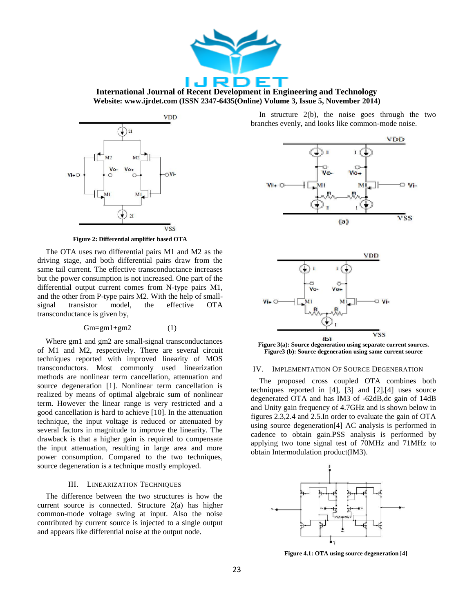

**International Journal of Recent Development in Engineering and Technology Website: www.ijrdet.com (ISSN 2347-6435(Online) Volume 3, Issue 5, November 2014)**



**Figure 2: Differential amplifier based OTA**

The OTA uses two differential pairs M1 and M2 as the driving stage, and both differential pairs draw from the same tail current. The effective transconductance increases but the power consumption is not increased. One part of the differential output current comes from N-type pairs M1, and the other from P-type pairs M2. With the help of smallsignal transistor model, the effective OTA transconductance is given by,

## $Gm=gm1+gm2$  (1)

Where gm1 and gm2 are small-signal transconductances of M1 and M2, respectively. There are several circuit techniques reported with improved linearity of MOS transconductors. Most commonly used linearization methods are nonlinear term cancellation, attenuation and source degeneration [1]. Nonlinear term cancellation is realized by means of optimal algebraic sum of nonlinear term. However the linear range is very restricted and a good cancellation is hard to achieve [10]. In the attenuation technique, the input voltage is reduced or attenuated by several factors in magnitude to improve the linearity. The drawback is that a higher gain is required to compensate the input attenuation, resulting in large area and more power consumption. Compared to the two techniques, source degeneration is a technique mostly employed.

## III. LINEARIZATION TECHNIQUES

The difference between the two structures is how the current source is connected. Structure 2(a) has higher common-mode voltage swing at input. Also the noise contributed by current source is injected to a single output and appears like differential noise at the output node.

In structure 2(b), the noise goes through the two branches evenly, and looks like common-mode noise.





**Figure 3(a): Source degeneration using separate current sources. Figure3 (b): Source degeneration using same current source**

#### IV. IMPLEMENTATION OF SOURCE DEGENERATION

The proposed cross coupled OTA combines both techniques reported in [4], [3] and [2].[4] uses source degenerated OTA and has IM3 of -62dB,dc gain of 14dB and Unity gain frequency of 4.7GHz and is shown below in figures 2.3,2.4 and 2.5.In order to evaluate the gain of OTA using source degeneration[4] AC analysis is performed in cadence to obtain gain.PSS analysis is performed by applying two tone signal test of 70MHz and 71MHz to obtain Intermodulation product(IM3).



**Figure 4.1: OTA using source degeneration [4]**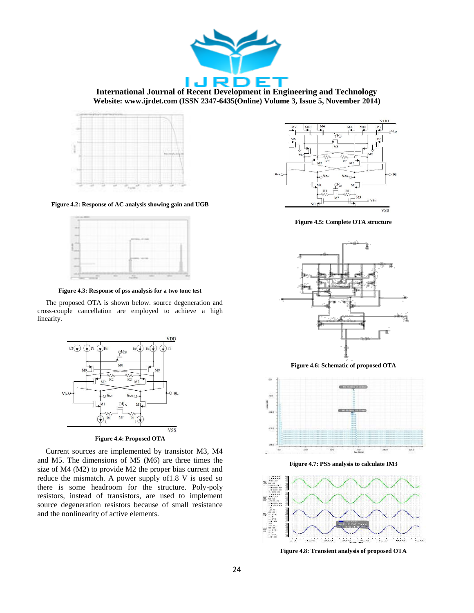



**Figure 4.2: Response of AC analysis showing gain and UGB**

**Figure 4.3: Response of pss analysis for a two tone test**

The proposed OTA is shown below. source degeneration and cross-couple cancellation are employed to achieve a high linearity.



**Figure 4.4: Proposed OTA**

Current sources are implemented by transistor M3, M4 and M5. The dimensions of M5 (M6) are three times the size of M4 (M2) to provide M2 the proper bias current and reduce the mismatch. A power supply of1.8 V is used so there is some headroom for the structure. Poly-poly resistors, instead of transistors, are used to implement source degeneration resistors because of small resistance and the nonlinearity of active elements.



**Figure 4.5: Complete OTA structure**



**Figure 4.6: Schematic of proposed OTA**



**Figure 4.7: PSS analysis to calculate IM3**



**Figure 4.8: Transient analysis of proposed OTA**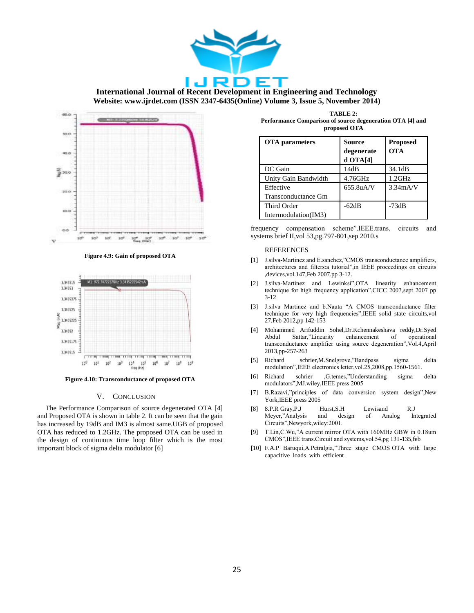



**Figure 4.9: Gain of proposed OTA**



**Figure 4.10: Transconductance of proposed OTA**

## V. CONCLUSION

The Performance Comparison of source degenerated OTA [4] and Proposed OTA is shown in table 2. It can be seen that the gain has increased by 19dB and IM3 is almost same.UGB of proposed OTA has reduced to 1.2GHz. The proposed OTA can be used in the design of continuous time loop filter which is the most important block of sigma delta modulator [6]

**TABLE 2: Performance Comparison of source degeneration OTA [4] and proposed OTA**

| <b>OTA</b> parameters | <b>Source</b><br>degenerate<br>$d$ OTA[4] | <b>Proposed</b><br><b>OTA</b> |
|-----------------------|-------------------------------------------|-------------------------------|
| DC Gain               | 14dB                                      | 34.1dB                        |
| Unity Gain Bandwidth  | 4.76GHz                                   | $1.2$ GHz                     |
| Effective             | $655.8$ uA/V                              | 3.34mA/V                      |
| Transconductance Gm   |                                           |                               |
| Third Order           | $-62dB$                                   | $-73dB$                       |
| Intermodulation(IM3)  |                                           |                               |

frequency compensation scheme".IEEE.trans. circuits and systems brief II,vol 53,pg.797-801,sep 2010.s

#### **REFERENCES**

- [1] J.silva-Martinez and E.sanchez,"CMOS transconductance amplifiers, architectures and filters:a tutorial",in IEEE proceedings on circuits ,devices,vol.147,Feb 2007.pp 3-12.
- [2] J.silva-Martinez and Lewinksi",OTA linearity enhancement technique for high frequency application",CICC 2007,sept 2007 pp 3-12
- [3] J.silva Martinez and b.Nauta "A CMOS transconductance filter technique for very high frequencies",IEEE solid state circuits,vol 27,Feb 2012,pp 142-153
- [4] Mohammed Arifuddin Sohel,Dr.Kchennakeshava reddy,Dr.Syed Abdul Sattar,"Linearity enhancement of operational transconductance amplifier using source degeneration",Vol.4,April 2013,pp-257-263
- [5] Richard schrier,M.Snelgrove,"Bandpass sigma delta modulation",IEEE electronics letter,vol.25,2008,pp.1560-1561.
- [6] Richard schrier ,G.temes,"Understanding sigma delta modulators",MJ.wiley,IEEE press 2005
- [7] B.Razavi,"principles of data conversion system design",New York,IEEE press 2005
- [8] 8.P.R Gray,P.J Hurst,S.H Lewisand R.J Meyer,"Analysis and design of Analog Integrated Circuits",Newyork,wiley:2001.
- [9] T.Lin,C.Wu,"A current mirror OTA with 160MHz GBW in 0.18um CMOS",IEEE trans.Circuit and systems,vol.54,pg 131-135,feb
- [10] F.A.P Baruqui,A.Petralgia,"Three stage CMOS OTA with large capacitive loads with efficient